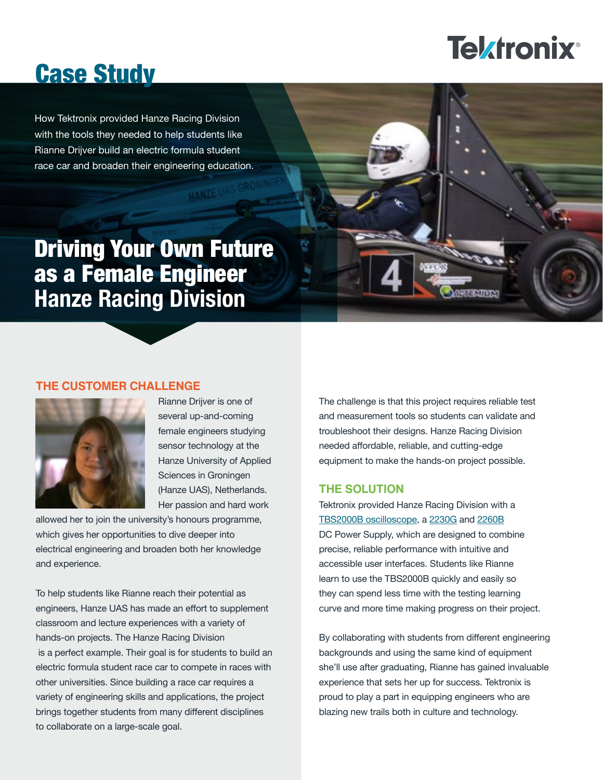# **Tektronix®**

## Case Study

How Tektronix provided Hanze Racing Division with the tools they needed to help students like Rianne Drijver build an electric formula student race car and broaden their engineering education.

### Driving Your Own Future as a Female Engineer **Hanze Racing Division**

#### **THE CUSTOMER CHALLENGE**



Rianne Drijver is one of several up-and-coming female engineers studying sensor technology at the Hanze University of Applied Sciences in Groningen (Hanze UAS), Netherlands. Her passion and hard work

allowed her to join the university's honours programme, which gives her opportunities to dive deeper into electrical engineering and broaden both her knowledge and experience.

To help students like Rianne reach their potential as engineers, Hanze UAS has made an effort to supplement classroom and lecture experiences with a variety of hands-on projects. The Hanze Racing Division is a perfect example. Their goal is for students to build an electric formula student race car to compete in races with other universities. Since building a race car requires a variety of engineering skills and applications, the project brings together students from many different disciplines to collaborate on a large-scale goal.

The challenge is that this project requires reliable test and measurement tools so students can validate and troubleshoot their designs. Hanze Racing Division needed affordable, reliable, and cutting-edge equipment to make the hands-on project possible.

#### **THE SOLUTION**

Tektronix provided Hanze Racing Division with a [TBS2000B oscilloscope,](https://uk.tek.com/oscilloscope/tbs2000-basic-oscilloscope?pdfcode=edu-study-hanze) a [2230G](http://uk.tek.com/tektronix-keithley-bench-power-dc-power-supply/series-2230g-high-power-3-channel-programmable-power?pdfcode=edu-study-hanze) and [2260B](http://uk.tek.com/dc-power-supply/series-2260b-360w-720w-1080w-dc-power-supplies?pdfcode=edu-study-hanze) DC Power Supply, which are designed to combine precise, reliable performance with intuitive and accessible user interfaces. Students like Rianne learn to use the TBS2000B quickly and easily so they can spend less time with the testing learning curve and more time making progress on their project.

By collaborating with students from different engineering backgrounds and using the same kind of equipment she'll use after graduating, Rianne has gained invaluable experience that sets her up for success. Tektronix is proud to play a part in equipping engineers who are blazing new trails both in culture and technology.